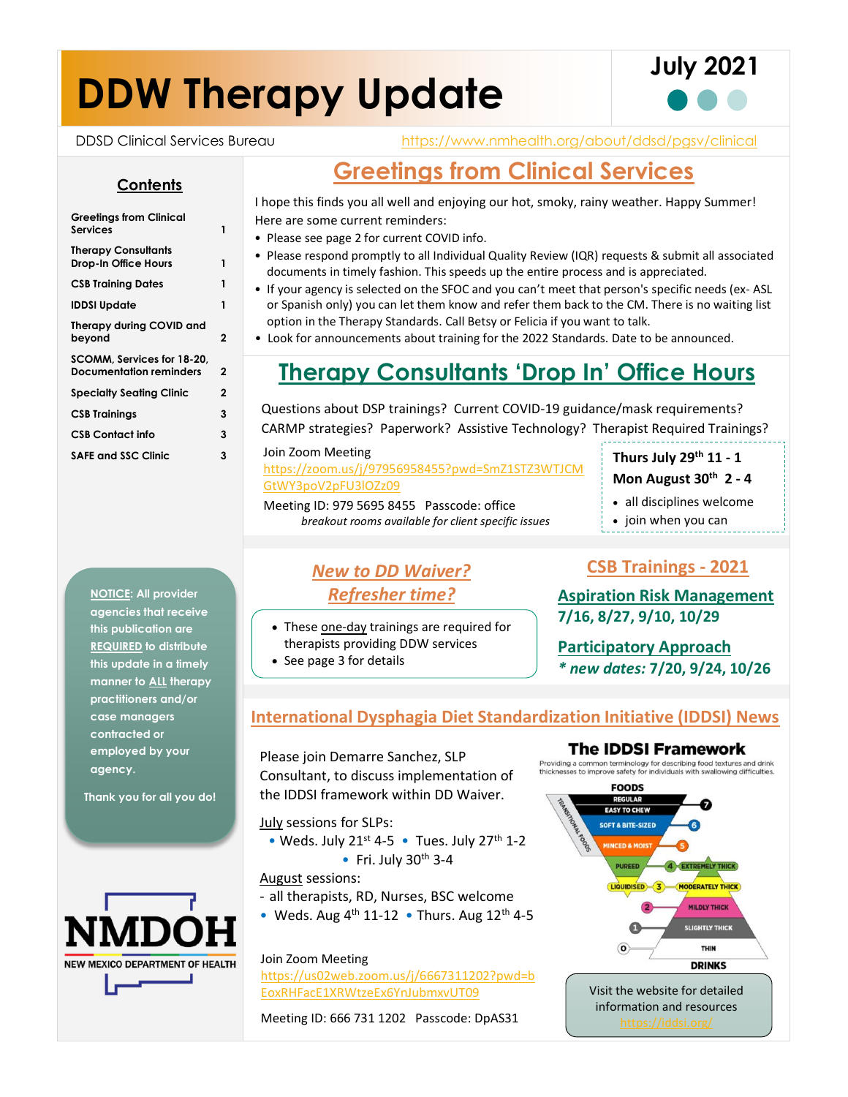# **DDW Therapy Update**



DDSD Clinical Services Bureau <https://www.nmhealth.org/about/ddsd/pgsv/clinical>

### **Greetings from Clinical Services**

I hope this finds you all well and enjoying our hot, smoky, rainy weather. Happy Summer! Here are some current reminders:

- Please see page 2 for current COVID info.
- Please respond promptly to all Individual Quality Review (IQR) requests & submit all associated documents in timely fashion. This speeds up the entire process and is appreciated.
- If your agency is selected on the SFOC and you can't meet that person's specific needs (ex- ASL or Spanish only) you can let them know and refer them back to the CM. There is no waiting list option in the Therapy Standards. Call Betsy or Felicia if you want to talk.
- Look for announcements about training for the 2022 Standards. Date to be announced.

### **Therapy Consultants 'Drop In' Office Hours**

Questions about DSP trainings? Current COVID-19 guidance/mask requirements? CARMP strategies? Paperwork? Assistive Technology? Therapist Required Trainings?

#### Join Zoom Meeting

[https://zoom.us/j/97956958455?pwd=SmZ1STZ3WTJCM](https://zoom.us/j/97956958455?pwd=SmZ1STZ3WTJCMGtWY3poV2pFU3lOZz09) [GtWY3poV2pFU3lOZz09](https://zoom.us/j/97956958455?pwd=SmZ1STZ3WTJCMGtWY3poV2pFU3lOZz09) 

Meeting ID: 979 5695 8455 Passcode: office *breakout rooms available for client specific issues*

### **Thurs July 29th 11 - 1 Mon August 30th 2 - 4**

• all disciplines welcome

- join when you can
- 

### *New to DD Waiver? Refresher time?*

- These one-day trainings are required for therapists providing DDW services
- See page 3 for details

### **CSB Trainings - 2021**

**Aspiration Risk Management 7/16, 8/27, 9/10, 10/29**

**Participatory Approach**  *\* new dates:* **7/20, 9/24, 10/26**

### **International Dysphagia Diet Standardization Initiative (IDDSI) News**

Please join Demarre Sanchez, SLP Consultant, to discuss implementation of the IDDSI framework within DD Waiver.

July sessions for SLPs:

• Weds. July 21<sup>st</sup> 4-5 • Tues. July 27<sup>th</sup> 1-2 • Fri. July  $30<sup>th</sup> 3-4$ 

August sessions:

- all therapists, RD, Nurses, BSC welcome
- Weds. Aug  $4<sup>th</sup>$  11-12 Thurs. Aug 12<sup>th</sup> 4-5

#### Join Zoom Meeting

[https://us02web.zoom.us/j/6667311202?pwd=b](https://us02web.zoom.us/j/6667311202?pwd=bEoxRHFacE1XRWtzeEx6YnJubmxvUT09) [EoxRHFacE1XRWtzeEx6YnJubmxvUT09](https://us02web.zoom.us/j/6667311202?pwd=bEoxRHFacE1XRWtzeEx6YnJubmxvUT09)

Meeting ID: 666 731 1202 Passcode: DpAS31



**NOTICE: All provider agencies that receive this publication are REQUIRED to distribute this update in a timely manner to ALL therapy practitioners and/or case managers contracted or employed by your agency.**

**Thank you for all you do!**



**Greetings from Clinical Services 1 Therapy Consultants Drop-In Office Hours 1 CSB Training Dates 1 IDDSI Update 1 Therapy during COVID and beyond 2**

**Contents**

**SCOMM, Services for 18-20, Documentation reminders 2 Specialty Seating Clinic 2 CSB Trainings 3 CSB Contact info 3 SAFE and SSC Clinic 3**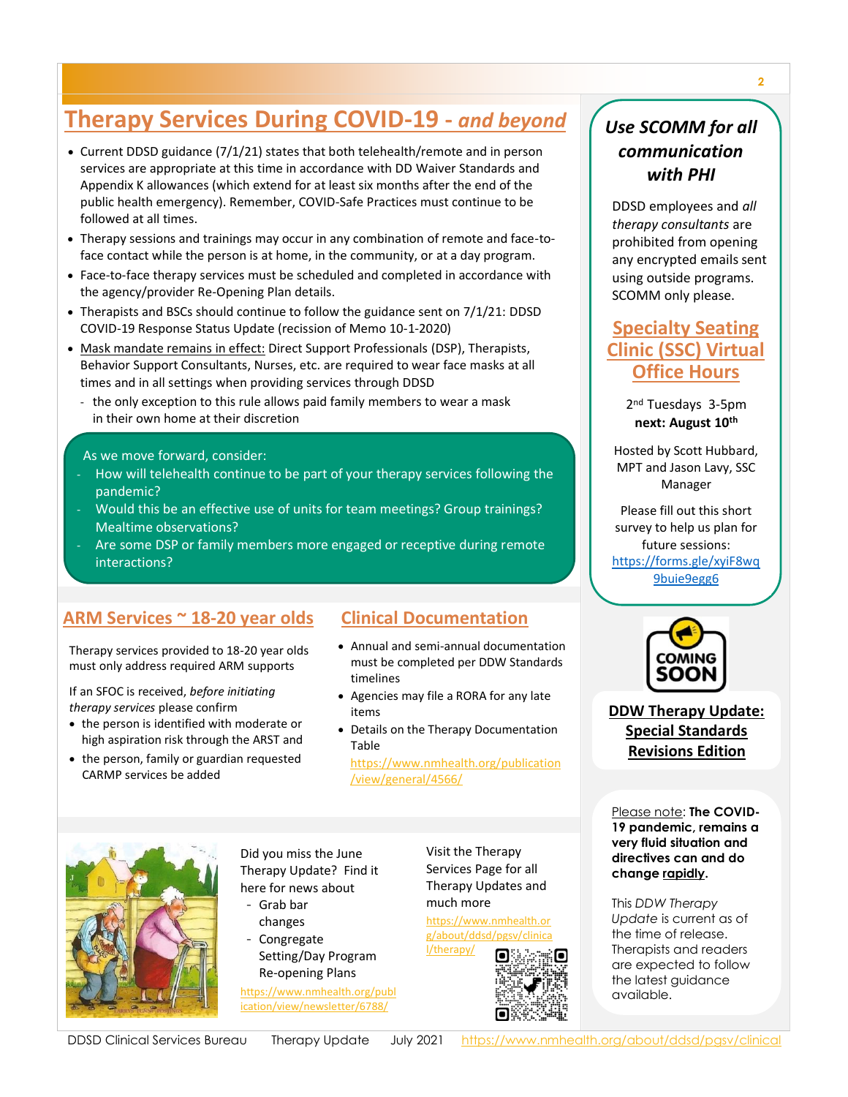### **Therapy Services During COVID-19 -** *and beyond*

- Current DDSD guidance (7/1/21) states that both telehealth/remote and in person services are appropriate at this time in accordance with DD Waiver Standards and Appendix K allowances (which extend for at least six months after the end of the public health emergency). Remember, COVID-Safe Practices must continue to be followed at all times.
- Therapy sessions and trainings may occur in any combination of remote and face-toface contact while the person is at home, in the community, or at a day program.
- Face-to-face therapy services must be scheduled and completed in accordance with the agency/provider Re-Opening Plan details.
- Therapists and BSCs should continue to follow the guidance sent on 7/1/21: DDSD COVID-19 Response Status Update (recission of Memo 10-1-2020)
- Mask mandate remains in effect: Direct Support Professionals (DSP), Therapists, Behavior Support Consultants, Nurses, etc. are required to wear face masks at all times and in all settings when providing services through DDSD
	- the only exception to this rule allows paid family members to wear a mask in their own home at their discretion

#### As we move forward, consider:

- How will telehealth continue to be part of your therapy services following the pandemic?
- Would this be an effective use of units for team meetings? Group trainings? Mealtime observations?
- Are some DSP or family members more engaged or receptive during remote interactions?

### **ARM Services ~ 18-20 year olds Clinical Documentation**

Therapy services provided to 18-20 year olds Therapy services provided to 18-20 year olds must only address required ARM supports must only address required ARM supports

If an SFOC is received, *before initiating services* please confirm *therapy services* please confirm  $n$ erupy services piedse community  $\frac{1}{n}$ 

- the person is identified with moderate or high aspiration risk through the ARST and
- $\bullet\,$  the person, family or guardian requested CARMP services be added

- Annual and semi-annual documentation must be completed per DDW Standards timelines
- Agencies may file a RORA for any late items
- Details on the Therapy Documentation Table

[https://www.nmhealth.org/publication](https://www.nmhealth.org/publication/view/general/4566/) [/view/general/4566/](https://www.nmhealth.org/publication/view/general/4566/)



Did you miss the June Therapy Update? Find it here for news about

- Grab bar changes
- Congregate
- Setting/Day Program Re-opening Plans

[https://www.nmhealth.org/publ](https://www.nmhealth.org/publication/view/newsletter/6788/) [ication/view/newsletter/6788/](https://www.nmhealth.org/publication/view/newsletter/6788/)

Visit the Therapy Services Page for all Therapy Updates and much more

[https://www.nmhealth.or](https://www.nmhealth.org/about/ddsd/pgsv/clinical/therapy/) [g/about/ddsd/pgsv/clinica](https://www.nmhealth.org/about/ddsd/pgsv/clinical/therapy/) [l/therapy/](https://www.nmhealth.org/about/ddsd/pgsv/clinical/therapy/)



### *Use SCOMM for all communication with PHI*

DDSD employees and *all therapy consultants* are prohibited from opening any encrypted emails sent using outside programs. SCOMM only please.

### **Specialty Seating Clinic (SSC) Virtual Office Hours**

2 nd Tuesdays 3-5pm **next: August 10th**

Hosted by Scott Hubbard, MPT and Jason Lavy, SSC Manager

Please fill out this short survey to help us plan for future sessions: [https://forms.gle/xyiF8wq](https://forms.gle/xyiF8wq9buie9egg6) [9buie9egg6](https://forms.gle/xyiF8wq9buie9egg6)



**DDW Therapy Update: Special Standards Revisions Edition**

Please note: **The COVID-19 pandemic, remains a very fluid situation and directives can and do change rapidly.**

This *DDW Therapy Update* is current as of the time of release. Therapists and readers are expected to follow the latest guidance available.

DDSD Clinical Services Bureau Therapy Update July 2021 <https://www.nmhealth.org/about/ddsd/pgsv/clinical>